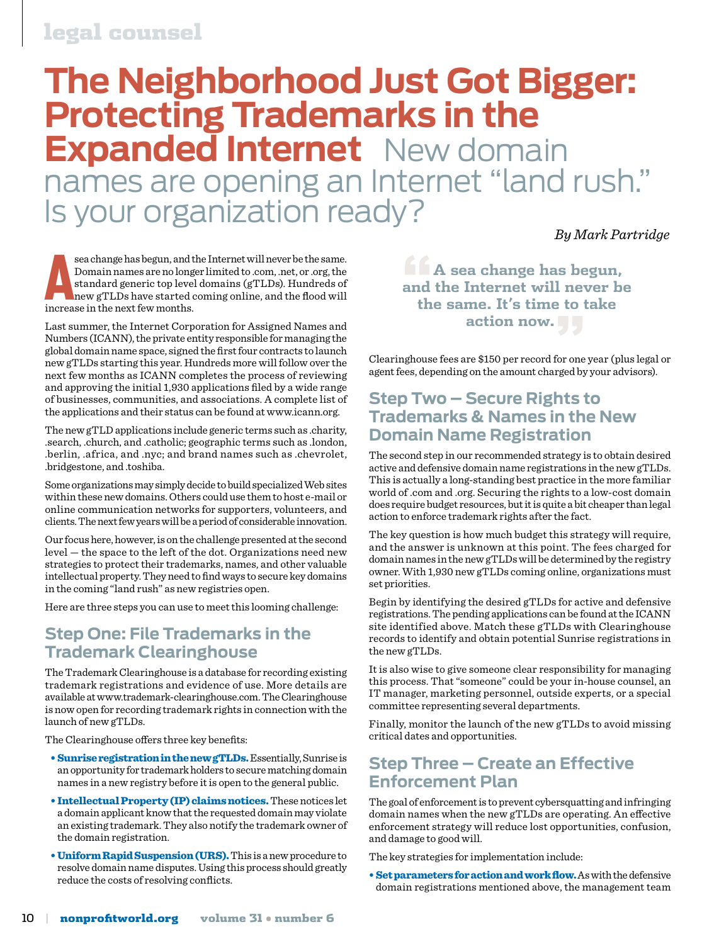#### legal counsel

### **The Neighborhood Just Got Bigger: Protecting Trademarks in the Expanded Internet** New domain names are opening an Internet "land rush." Is your organization ready?

*By Mark Partridge*

sea change has begun, and the Domain names are no long standard generic top level new gTLDs have started increase in the next few months. sea change has begun, and the Internet will never be the same. Domain names are no longer limited to .com, .net, or .org, the standard generic top level domains (gTLDs). Hundreds of new gTLDs have started coming online, and the flood will

Last summer, the Internet Corporation for Assigned Names and Numbers (ICANN), the private entity responsible for managing the global domain name space, signed the first four contracts to launch new gTLDs starting this year. Hundreds more will follow over the next few months as ICANN completes the process of reviewing and approving the initial 1,930 applications filed by a wide range of businesses, communities, and associations. A complete list of the applications and their status can be found at www.icann.org.

The new gTLD applications include generic terms such as .charity, .search, .church, and .catholic; geographic terms such as .london, .berlin, .africa, and .nyc; and brand names such as .chevrolet, .bridgestone, and .toshiba.

Some organizations may simply decide to build specialized Web sites within these new domains. Others could use them to host e-mail or online communication networks for supporters, volunteers, and clients. The next few years will be a period of considerable innovation.

Our focus here, however, is on the challenge presented at the second level — the space to the left of the dot. Organizations need new strategies to protect their trademarks, names, and other valuable intellectual property. They need to find ways to secure key domains in the coming "land rush" as new registries open.

Here are three steps you can use to meet this looming challenge:

#### **Step One: File Trademarks in the Trademark Clearinghouse**

The Trademark Clearinghouse is a database for recording existing trademark registrations and evidence of use. More details are available at www.trademark-clearinghouse.com. The Clearinghouse is now open for recording trademark rights in connection with the launch of new gTLDs.

The Clearinghouse offers three key benefits:

- Sunrise registration in the new gTLDs. Essentially, Sunrise is an opportunity for trademark holders to secure matching domain names in a new registry before it is open to the general public.
- Intellectual Property (IP) claims notices. These notices let a domain applicant know that the requested domain may violate an existing trademark. They also notify the trademark owner of the domain registration.
- Uniform Rapid Suspension (URS). This is a new procedure to resolve domain name disputes. Using this process should greatly reduce the costs of resolving conflicts.

**"A sea change has begun, and the Internet will never be the same. It's time to take action now."**

Clearinghouse fees are \$150 per record for one year (plus legal or agent fees, depending on the amount charged by your advisors).

#### **Step Two – Secure Rights to Trademarks & Names in the New Domain Name Registration**

The second step in our recommended strategy is to obtain desired active and defensive domain name registrations in the new gTLDs. This is actually a long-standing best practice in the more familiar world of .com and .org. Securing the rights to a low-cost domain does require budget resources, but it is quite a bit cheaper than legal action to enforce trademark rights after the fact.

The key question is how much budget this strategy will require, and the answer is unknown at this point. The fees charged for domain names in the new gTLDs will be determined by the registry owner. With 1,930 new gTLDs coming online, organizations must set priorities.

Begin by identifying the desired gTLDs for active and defensive registrations. The pending applications can be found at the ICANN site identified above. Match these gTLDs with Clearinghouse records to identify and obtain potential Sunrise registrations in the new gTLDs.

It is also wise to give someone clear responsibility for managing this process. That "someone" could be your in-house counsel, an IT manager, marketing personnel, outside experts, or a special committee representing several departments.

Finally, monitor the launch of the new gTLDs to avoid missing critical dates and opportunities.

#### **Step Three – Create an Effective Enforcement Plan**

The goal of enforcement is to prevent cybersquatting and infringing domain names when the new gTLDs are operating. An effective enforcement strategy will reduce lost opportunities, confusion, and damage to good will.

The key strategies for implementation include:

• Set parameters for action and work flow. As with the defensive domain registrations mentioned above, the management team